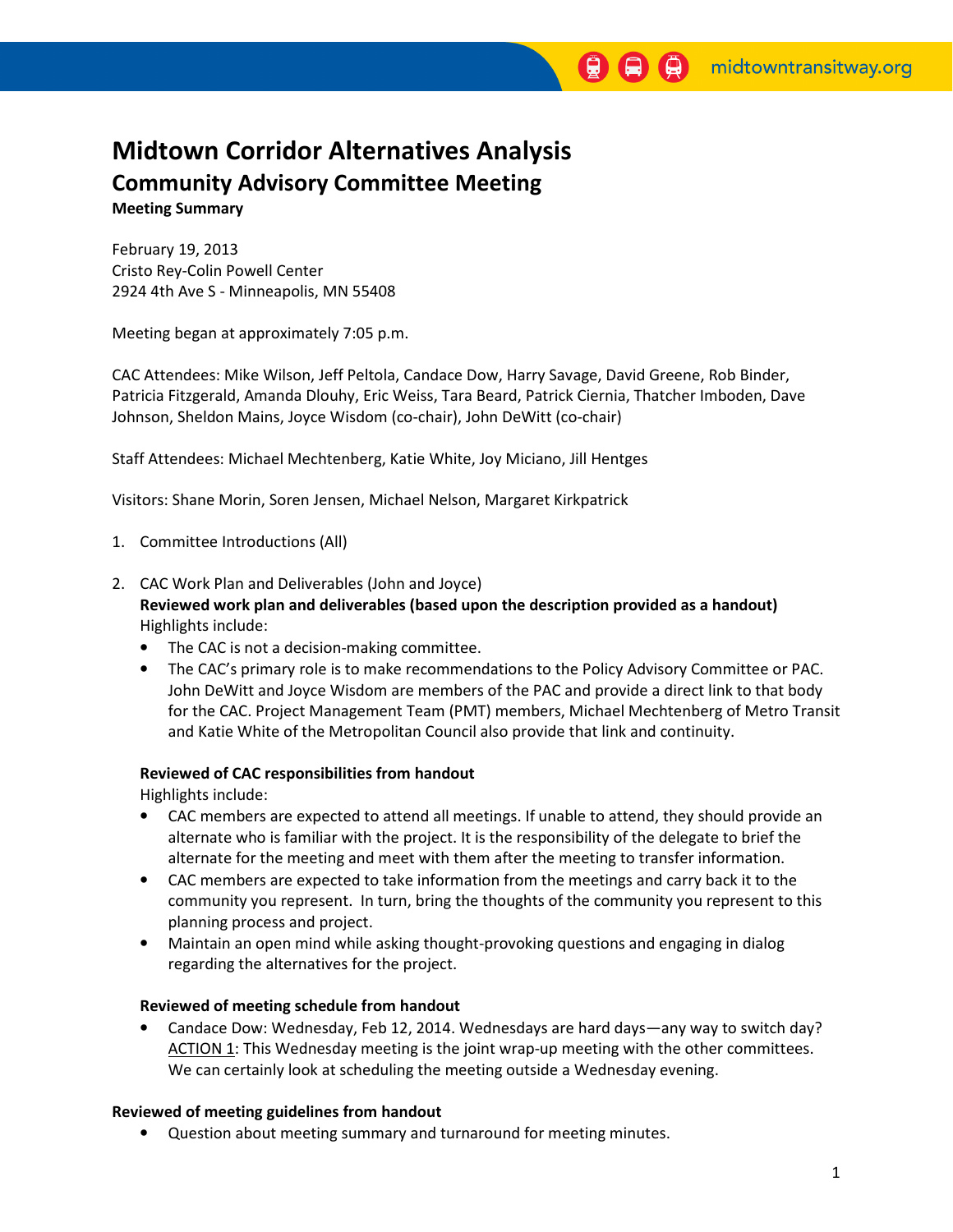# Midtown Corridor Alternatives Analysis Community Advisory Committee Meeting Meeting Summary

February 19, 2013 Cristo Rey-Colin Powell Center 2924 4th Ave S - Minneapolis, MN 55408

Meeting began at approximately 7:05 p.m.

CAC Attendees: Mike Wilson, Jeff Peltola, Candace Dow, Harry Savage, David Greene, Rob Binder, Patricia Fitzgerald, Amanda Dlouhy, Eric Weiss, Tara Beard, Patrick Ciernia, Thatcher Imboden, Dave Johnson, Sheldon Mains, Joyce Wisdom (co-chair), John DeWitt (co-chair)

Staff Attendees: Michael Mechtenberg, Katie White, Joy Miciano, Jill Hentges

Visitors: Shane Morin, Soren Jensen, Michael Nelson, Margaret Kirkpatrick

- 1. Committee Introductions (All)
- 2. CAC Work Plan and Deliverables (John and Joyce)

Reviewed work plan and deliverables (based upon the description provided as a handout) Highlights include:

- The CAC is not a decision-making committee.
- The CAC's primary role is to make recommendations to the Policy Advisory Committee or PAC. John DeWitt and Joyce Wisdom are members of the PAC and provide a direct link to that body for the CAC. Project Management Team (PMT) members, Michael Mechtenberg of Metro Transit and Katie White of the Metropolitan Council also provide that link and continuity.

## Reviewed of CAC responsibilities from handout

Highlights include:

- CAC members are expected to attend all meetings. If unable to attend, they should provide an alternate who is familiar with the project. It is the responsibility of the delegate to brief the alternate for the meeting and meet with them after the meeting to transfer information.
- CAC members are expected to take information from the meetings and carry back it to the community you represent. In turn, bring the thoughts of the community you represent to this planning process and project.
- Maintain an open mind while asking thought-provoking questions and engaging in dialog regarding the alternatives for the project.

## Reviewed of meeting schedule from handout

• Candace Dow: Wednesday, Feb 12, 2014. Wednesdays are hard days—any way to switch day? ACTION 1: This Wednesday meeting is the joint wrap-up meeting with the other committees. We can certainly look at scheduling the meeting outside a Wednesday evening.

## Reviewed of meeting guidelines from handout

• Question about meeting summary and turnaround for meeting minutes.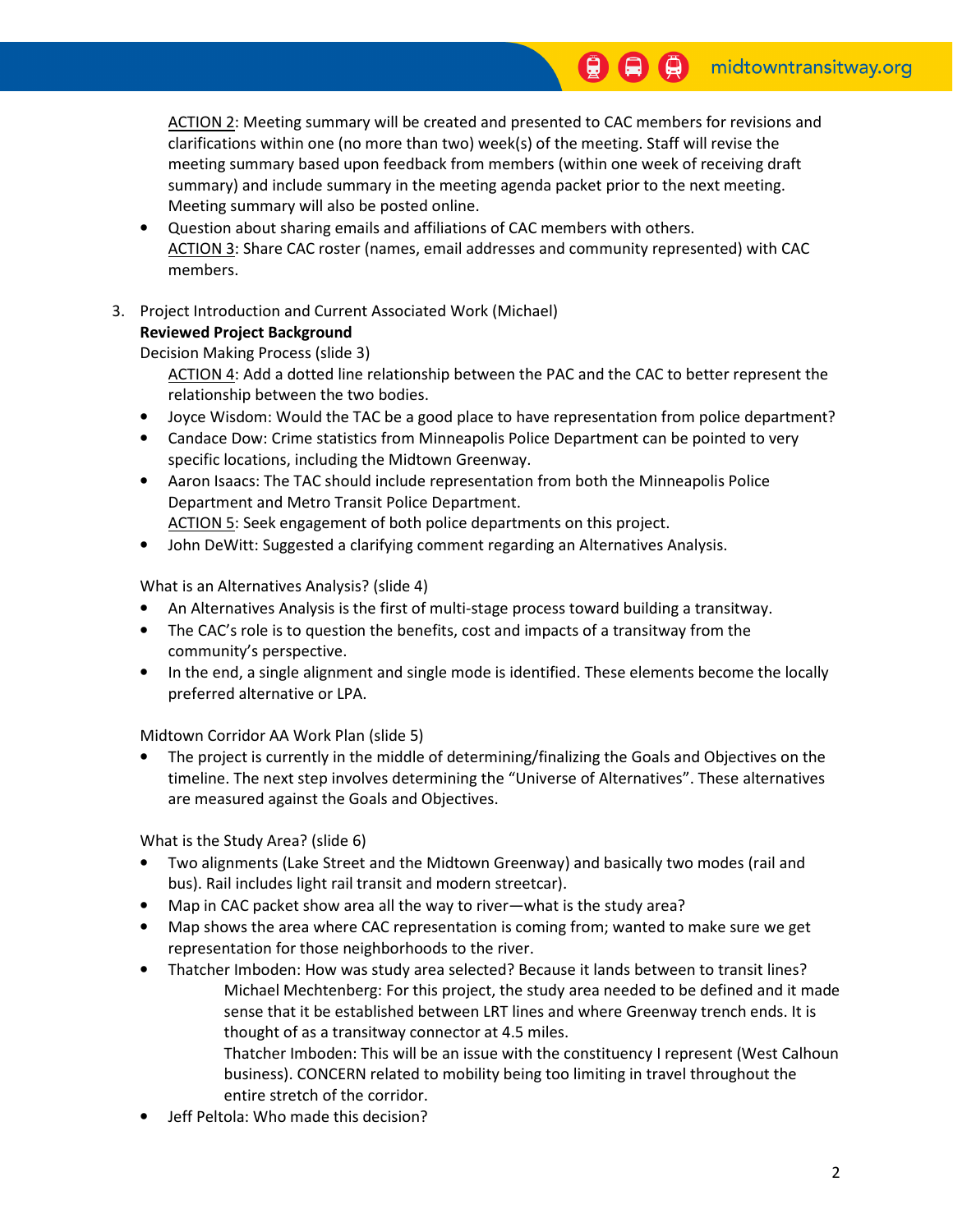ACTION 2: Meeting summary will be created and presented to CAC members for revisions and clarifications within one (no more than two) week(s) of the meeting. Staff will revise the meeting summary based upon feedback from members (within one week of receiving draft summary) and include summary in the meeting agenda packet prior to the next meeting. Meeting summary will also be posted online.

- Question about sharing emails and affiliations of CAC members with others. ACTION 3: Share CAC roster (names, email addresses and community represented) with CAC members.
- 3. Project Introduction and Current Associated Work (Michael) Reviewed Project Background

Decision Making Process (slide 3)

 ACTION 4: Add a dotted line relationship between the PAC and the CAC to better represent the relationship between the two bodies.

- Joyce Wisdom: Would the TAC be a good place to have representation from police department?
- Candace Dow: Crime statistics from Minneapolis Police Department can be pointed to very specific locations, including the Midtown Greenway.
- Aaron Isaacs: The TAC should include representation from both the Minneapolis Police Department and Metro Transit Police Department.
- ACTION 5: Seek engagement of both police departments on this project.
- John DeWitt: Suggested a clarifying comment regarding an Alternatives Analysis.

What is an Alternatives Analysis? (slide 4)

- An Alternatives Analysis is the first of multi-stage process toward building a transitway.
- The CAC's role is to question the benefits, cost and impacts of a transitway from the community's perspective.
- In the end, a single alignment and single mode is identified. These elements become the locally preferred alternative or LPA.

Midtown Corridor AA Work Plan (slide 5)

The project is currently in the middle of determining/finalizing the Goals and Objectives on the timeline. The next step involves determining the "Universe of Alternatives". These alternatives are measured against the Goals and Objectives.

What is the Study Area? (slide 6)

- Two alignments (Lake Street and the Midtown Greenway) and basically two modes (rail and bus). Rail includes light rail transit and modern streetcar).
- Map in CAC packet show area all the way to river—what is the study area?
- Map shows the area where CAC representation is coming from; wanted to make sure we get representation for those neighborhoods to the river.
- Thatcher Imboden: How was study area selected? Because it lands between to transit lines? Michael Mechtenberg: For this project, the study area needed to be defined and it made sense that it be established between LRT lines and where Greenway trench ends. It is thought of as a transitway connector at 4.5 miles. Thatcher Imboden: This will be an issue with the constituency I represent (West Calhoun business). CONCERN related to mobility being too limiting in travel throughout the
- entire stretch of the corridor. • Jeff Peltola: Who made this decision?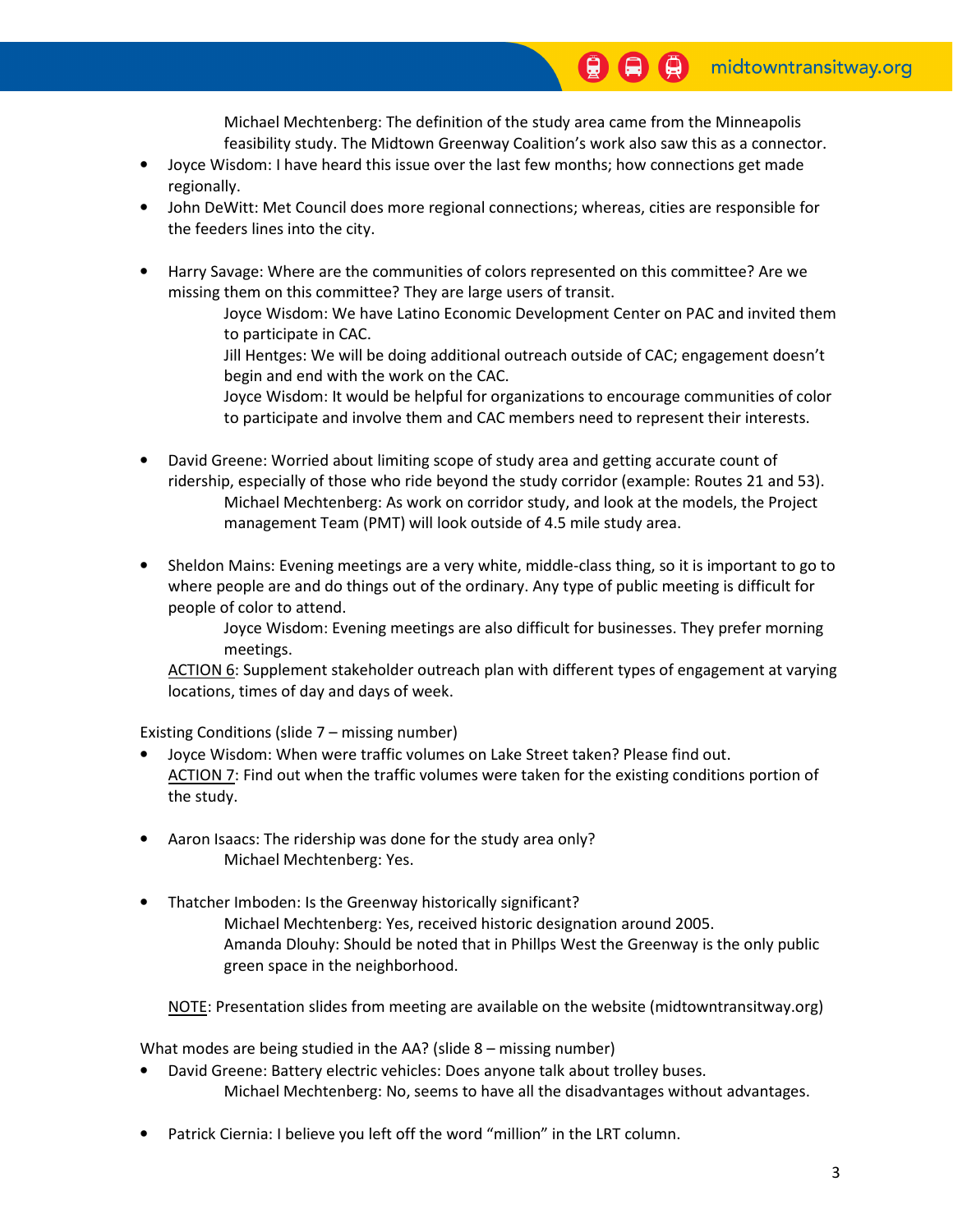Michael Mechtenberg: The definition of the study area came from the Minneapolis feasibility study. The Midtown Greenway Coalition's work also saw this as a connector.

- Joyce Wisdom: I have heard this issue over the last few months; how connections get made regionally.
- John DeWitt: Met Council does more regional connections; whereas, cities are responsible for the feeders lines into the city.
- Harry Savage: Where are the communities of colors represented on this committee? Are we missing them on this committee? They are large users of transit.
	- Joyce Wisdom: We have Latino Economic Development Center on PAC and invited them to participate in CAC.
	- Jill Hentges: We will be doing additional outreach outside of CAC; engagement doesn't begin and end with the work on the CAC.
	- Joyce Wisdom: It would be helpful for organizations to encourage communities of color to participate and involve them and CAC members need to represent their interests.
- David Greene: Worried about limiting scope of study area and getting accurate count of ridership, especially of those who ride beyond the study corridor (example: Routes 21 and 53). Michael Mechtenberg: As work on corridor study, and look at the models, the Project management Team (PMT) will look outside of 4.5 mile study area.
- Sheldon Mains: Evening meetings are a very white, middle-class thing, so it is important to go to where people are and do things out of the ordinary. Any type of public meeting is difficult for people of color to attend.

 Joyce Wisdom: Evening meetings are also difficult for businesses. They prefer morning meetings.

 ACTION 6: Supplement stakeholder outreach plan with different types of engagement at varying locations, times of day and days of week.

Existing Conditions (slide 7 – missing number)

- Joyce Wisdom: When were traffic volumes on Lake Street taken? Please find out. ACTION 7: Find out when the traffic volumes were taken for the existing conditions portion of the study.
- Aaron Isaacs: The ridership was done for the study area only? Michael Mechtenberg: Yes.
- Thatcher Imboden: Is the Greenway historically significant? Michael Mechtenberg: Yes, received historic designation around 2005. Amanda Dlouhy: Should be noted that in Phillps West the Greenway is the only public green space in the neighborhood.

NOTE: Presentation slides from meeting are available on the website (midtowntransitway.org)

What modes are being studied in the AA? (slide 8 – missing number)

- David Greene: Battery electric vehicles: Does anyone talk about trolley buses. Michael Mechtenberg: No, seems to have all the disadvantages without advantages.
- Patrick Ciernia: I believe you left off the word "million" in the LRT column.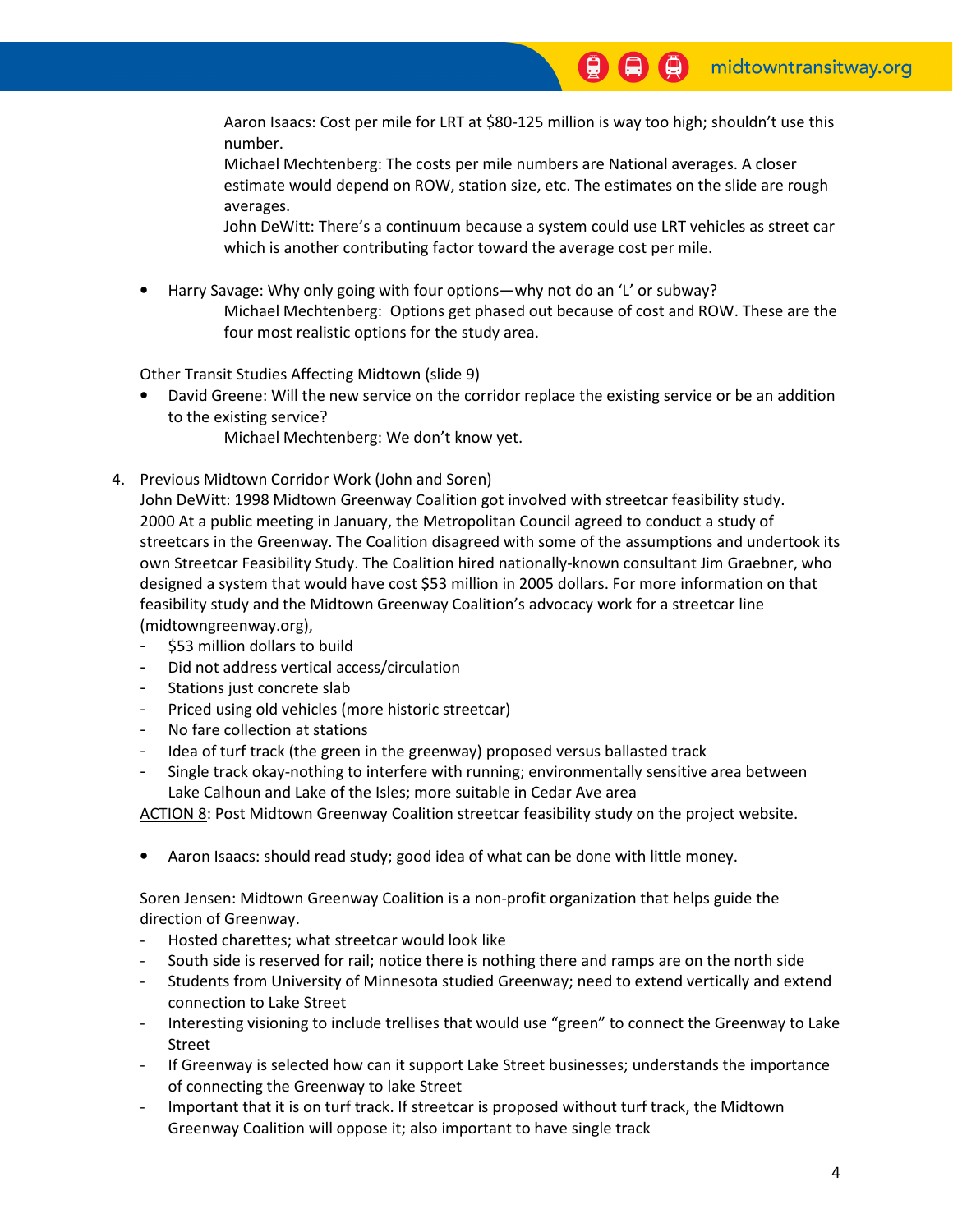Aaron Isaacs: Cost per mile for LRT at \$80-125 million is way too high; shouldn't use this number.

 Michael Mechtenberg: The costs per mile numbers are National averages. A closer estimate would depend on ROW, station size, etc. The estimates on the slide are rough averages.

 John DeWitt: There's a continuum because a system could use LRT vehicles as street car which is another contributing factor toward the average cost per mile.

• Harry Savage: Why only going with four options—why not do an 'L' or subway? Michael Mechtenberg: Options get phased out because of cost and ROW. These are the four most realistic options for the study area.

Other Transit Studies Affecting Midtown (slide 9)

• David Greene: Will the new service on the corridor replace the existing service or be an addition to the existing service?

Michael Mechtenberg: We don't know yet.

4. Previous Midtown Corridor Work (John and Soren)

 John DeWitt: 1998 Midtown Greenway Coalition got involved with streetcar feasibility study. 2000 At a public meeting in January, the Metropolitan Council agreed to conduct a study of streetcars in the Greenway. The Coalition disagreed with some of the assumptions and undertook its own Streetcar Feasibility Study. The Coalition hired nationally-known consultant Jim Graebner, who designed a system that would have cost \$53 million in 2005 dollars. For more information on that feasibility study and the Midtown Greenway Coalition's advocacy work for a streetcar line (midtowngreenway.org),

- \$53 million dollars to build
- Did not address vertical access/circulation
- Stations just concrete slab
- Priced using old vehicles (more historic streetcar)
- No fare collection at stations
- Idea of turf track (the green in the greenway) proposed versus ballasted track
- Single track okay-nothing to interfere with running; environmentally sensitive area between Lake Calhoun and Lake of the Isles; more suitable in Cedar Ave area

ACTION 8: Post Midtown Greenway Coalition streetcar feasibility study on the project website.

• Aaron Isaacs: should read study; good idea of what can be done with little money.

 Soren Jensen: Midtown Greenway Coalition is a non-profit organization that helps guide the direction of Greenway.

- Hosted charettes; what streetcar would look like
- South side is reserved for rail; notice there is nothing there and ramps are on the north side
- Students from University of Minnesota studied Greenway; need to extend vertically and extend connection to Lake Street
- Interesting visioning to include trellises that would use "green" to connect the Greenway to Lake Street
- If Greenway is selected how can it support Lake Street businesses; understands the importance of connecting the Greenway to lake Street
- Important that it is on turf track. If streetcar is proposed without turf track, the Midtown Greenway Coalition will oppose it; also important to have single track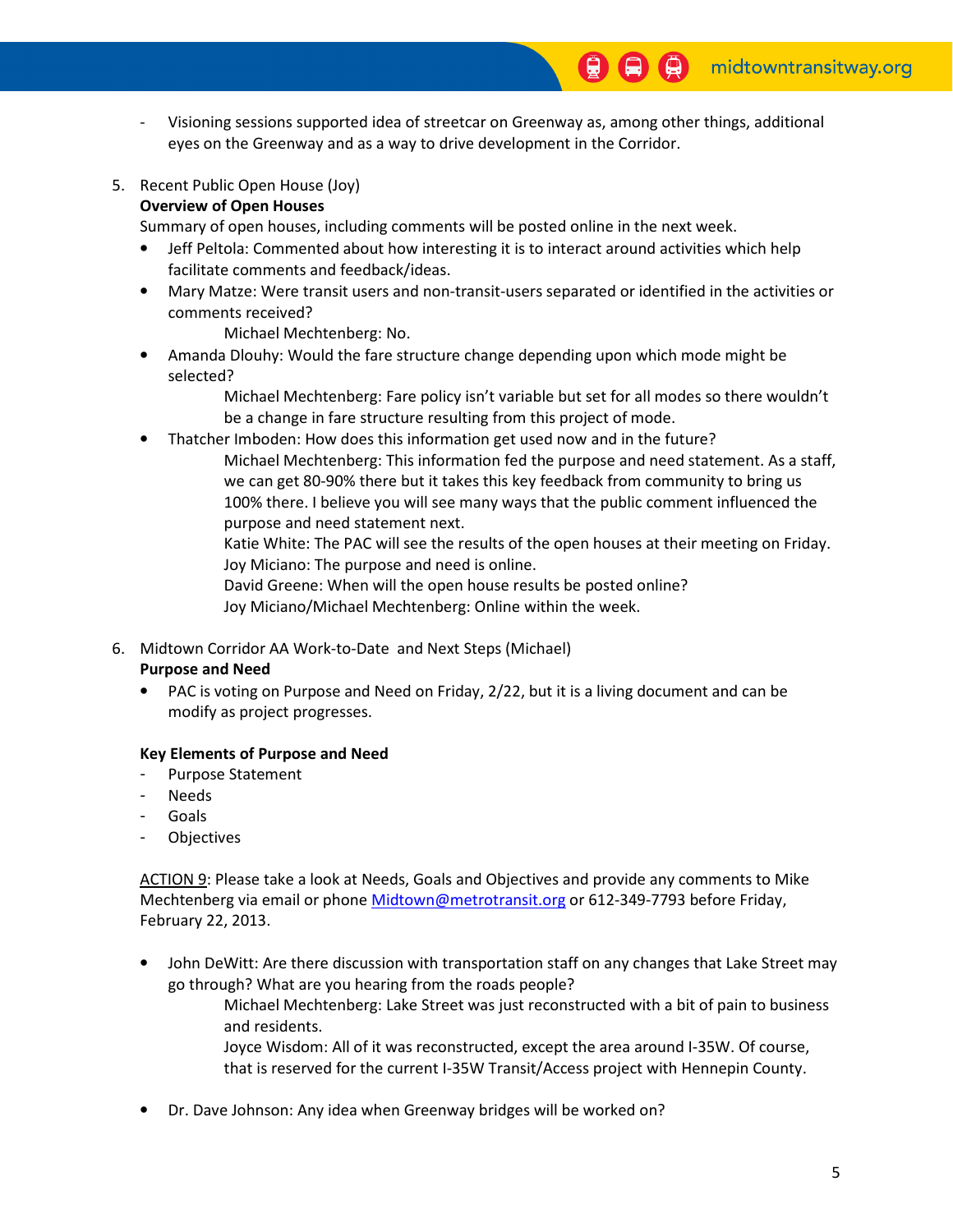- Visioning sessions supported idea of streetcar on Greenway as, among other things, additional eyes on the Greenway and as a way to drive development in the Corridor.
- 5. Recent Public Open House (Joy) Overview of Open Houses

Summary of open houses, including comments will be posted online in the next week.

- Jeff Peltola: Commented about how interesting it is to interact around activities which help facilitate comments and feedback/ideas.
- Mary Matze: Were transit users and non-transit-users separated or identified in the activities or comments received?

Michael Mechtenberg: No.

• Amanda Dlouhy: Would the fare structure change depending upon which mode might be selected?

> Michael Mechtenberg: Fare policy isn't variable but set for all modes so there wouldn't be a change in fare structure resulting from this project of mode.

• Thatcher Imboden: How does this information get used now and in the future?

 Michael Mechtenberg: This information fed the purpose and need statement. As a staff, we can get 80-90% there but it takes this key feedback from community to bring us 100% there. I believe you will see many ways that the public comment influenced the purpose and need statement next.

 Katie White: The PAC will see the results of the open houses at their meeting on Friday. Joy Miciano: The purpose and need is online.

 David Greene: When will the open house results be posted online? Joy Miciano/Michael Mechtenberg: Online within the week.

6. Midtown Corridor AA Work-to-Date and Next Steps (Michael)

## Purpose and Need

• PAC is voting on Purpose and Need on Friday, 2/22, but it is a living document and can be modify as project progresses.

## Key Elements of Purpose and Need

- Purpose Statement
- **Needs**
- Goals
- **Objectives**

 ACTION 9: Please take a look at Needs, Goals and Objectives and provide any comments to Mike Mechtenberg via email or phone Midtown@metrotransit.org or 612-349-7793 before Friday, February 22, 2013.

• John DeWitt: Are there discussion with transportation staff on any changes that Lake Street may go through? What are you hearing from the roads people?

> Michael Mechtenberg: Lake Street was just reconstructed with a bit of pain to business and residents.

 Joyce Wisdom: All of it was reconstructed, except the area around I-35W. Of course, that is reserved for the current I-35W Transit/Access project with Hennepin County.

• Dr. Dave Johnson: Any idea when Greenway bridges will be worked on?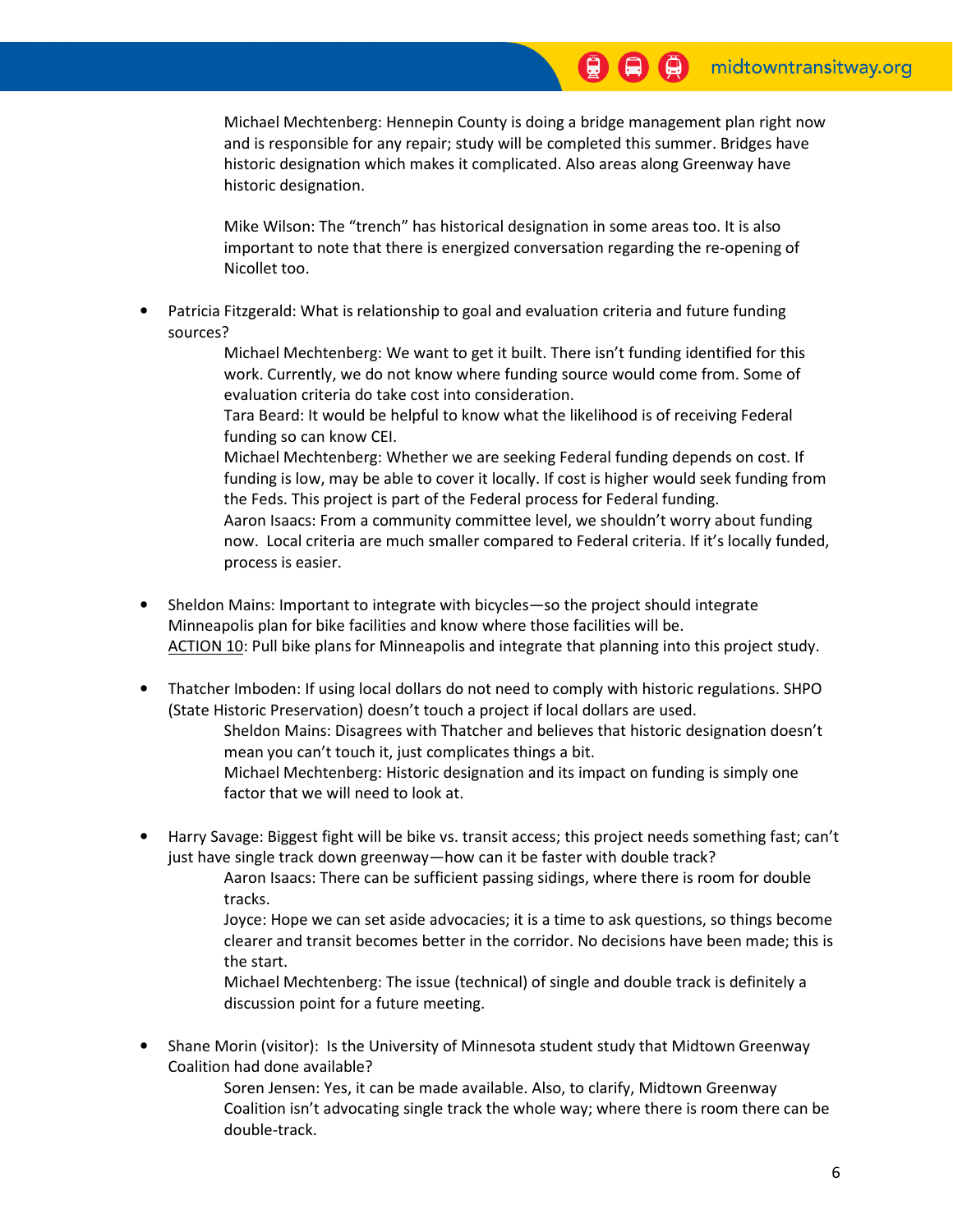Michael Mechtenberg: Hennepin County is doing a bridge management plan right now and is responsible for any repair; study will be completed this summer. Bridges have historic designation which makes it complicated. Also areas along Greenway have historic designation.

 Mike Wilson: The "trench" has historical designation in some areas too. It is also important to note that there is energized conversation regarding the re-opening of Nicollet too.

• Patricia Fitzgerald: What is relationship to goal and evaluation criteria and future funding sources?

> Michael Mechtenberg: We want to get it built. There isn't funding identified for this work. Currently, we do not know where funding source would come from. Some of evaluation criteria do take cost into consideration.

 Tara Beard: It would be helpful to know what the likelihood is of receiving Federal funding so can know CEI.

 Michael Mechtenberg: Whether we are seeking Federal funding depends on cost. If funding is low, may be able to cover it locally. If cost is higher would seek funding from the Feds. This project is part of the Federal process for Federal funding.

 Aaron Isaacs: From a community committee level, we shouldn't worry about funding now. Local criteria are much smaller compared to Federal criteria. If it's locally funded, process is easier.

- Sheldon Mains: Important to integrate with bicycles—so the project should integrate Minneapolis plan for bike facilities and know where those facilities will be. ACTION 10: Pull bike plans for Minneapolis and integrate that planning into this project study.
- Thatcher Imboden: If using local dollars do not need to comply with historic regulations. SHPO (State Historic Preservation) doesn't touch a project if local dollars are used. Sheldon Mains: Disagrees with Thatcher and believes that historic designation doesn't mean you can't touch it, just complicates things a bit.
	- Michael Mechtenberg: Historic designation and its impact on funding is simply one factor that we will need to look at.
- Harry Savage: Biggest fight will be bike vs. transit access; this project needs something fast; can't just have single track down greenway—how can it be faster with double track?

 Aaron Isaacs: There can be sufficient passing sidings, where there is room for double tracks.

 Joyce: Hope we can set aside advocacies; it is a time to ask questions, so things become clearer and transit becomes better in the corridor. No decisions have been made; this is the start.

 Michael Mechtenberg: The issue (technical) of single and double track is definitely a discussion point for a future meeting.

• Shane Morin (visitor): Is the University of Minnesota student study that Midtown Greenway Coalition had done available?

> Soren Jensen: Yes, it can be made available. Also, to clarify, Midtown Greenway Coalition isn't advocating single track the whole way; where there is room there can be double-track.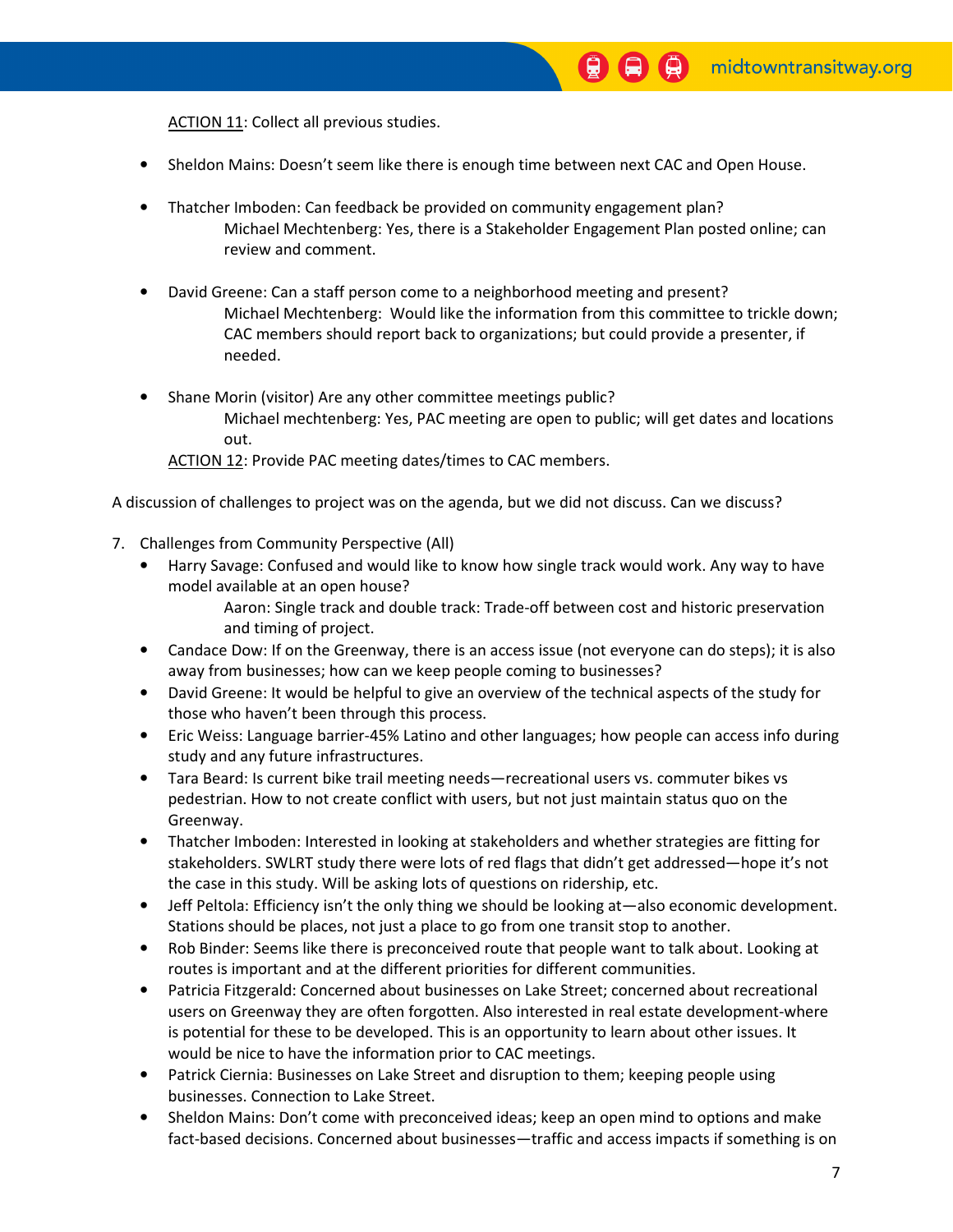ACTION 11: Collect all previous studies.

- Sheldon Mains: Doesn't seem like there is enough time between next CAC and Open House.
- Thatcher Imboden: Can feedback be provided on community engagement plan? Michael Mechtenberg: Yes, there is a Stakeholder Engagement Plan posted online; can review and comment.
- David Greene: Can a staff person come to a neighborhood meeting and present? Michael Mechtenberg: Would like the information from this committee to trickle down; CAC members should report back to organizations; but could provide a presenter, if needed.
- Shane Morin (visitor) Are any other committee meetings public? Michael mechtenberg: Yes, PAC meeting are open to public; will get dates and locations out.
	- ACTION 12: Provide PAC meeting dates/times to CAC members.

A discussion of challenges to project was on the agenda, but we did not discuss. Can we discuss?

- 7. Challenges from Community Perspective (All)
	- Harry Savage: Confused and would like to know how single track would work. Any way to have model available at an open house?

 Aaron: Single track and double track: Trade-off between cost and historic preservation and timing of project.

- Candace Dow: If on the Greenway, there is an access issue (not everyone can do steps); it is also away from businesses; how can we keep people coming to businesses?
- David Greene: It would be helpful to give an overview of the technical aspects of the study for those who haven't been through this process.
- Eric Weiss: Language barrier-45% Latino and other languages; how people can access info during study and any future infrastructures.
- Tara Beard: Is current bike trail meeting needs—recreational users vs. commuter bikes vs pedestrian. How to not create conflict with users, but not just maintain status quo on the Greenway.
- Thatcher Imboden: Interested in looking at stakeholders and whether strategies are fitting for stakeholders. SWLRT study there were lots of red flags that didn't get addressed—hope it's not the case in this study. Will be asking lots of questions on ridership, etc.
- Jeff Peltola: Efficiency isn't the only thing we should be looking at—also economic development. Stations should be places, not just a place to go from one transit stop to another.
- Rob Binder: Seems like there is preconceived route that people want to talk about. Looking at routes is important and at the different priorities for different communities.
- Patricia Fitzgerald: Concerned about businesses on Lake Street; concerned about recreational users on Greenway they are often forgotten. Also interested in real estate development-where is potential for these to be developed. This is an opportunity to learn about other issues. It would be nice to have the information prior to CAC meetings.
- Patrick Ciernia: Businesses on Lake Street and disruption to them; keeping people using businesses. Connection to Lake Street.
- Sheldon Mains: Don't come with preconceived ideas; keep an open mind to options and make fact-based decisions. Concerned about businesses—traffic and access impacts if something is on